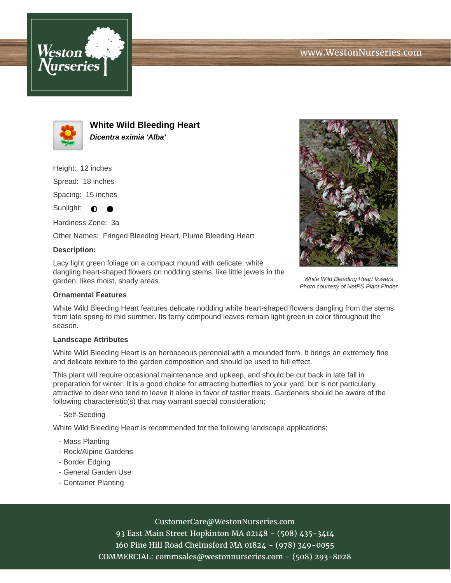



**White Wild Bleeding Heart Dicentra eximia 'Alba'**

Height: 12 inches

Spread: 18 inches

Spacing: 15 inches

Sunlight:  $\bullet$ ●

Hardiness Zone: 3a

Other Names: Fringed Bleeding Heart, Plume Bleeding Heart

## **Description:**

Lacy light green foliage on a compact mound with delicate, white dangling heart-shaped flowers on nodding stems, like little jewels in the garden; likes moist, shady areas

## **Ornamental Features**

White Wild Bleeding Heart features delicate nodding white heart-shaped flowers dangling from the stems from late spring to mid summer. Its ferny compound leaves remain light green in color throughout the season.

#### **Landscape Attributes**

White Wild Bleeding Heart is an herbaceous perennial with a mounded form. It brings an extremely fine and delicate texture to the garden composition and should be used to full effect.

This plant will require occasional maintenance and upkeep, and should be cut back in late fall in preparation for winter. It is a good choice for attracting butterflies to your yard, but is not particularly attractive to deer who tend to leave it alone in favor of tastier treats. Gardeners should be aware of the following characteristic(s) that may warrant special consideration;

- Self-Seeding

White Wild Bleeding Heart is recommended for the following landscape applications;

- Mass Planting
- Rock/Alpine Gardens
- Border Edging
- General Garden Use
- Container Planting

# CustomerCare@WestonNurseries.com

93 East Main Street Hopkinton MA 02148 - (508) 435-3414 160 Pine Hill Road Chelmsford MA 01824 - (978) 349-0055 COMMERCIAL: commsales@westonnurseries.com - (508) 293-8028



White Wild Bleeding Heart flowers Photo courtesy of NetPS Plant Finder